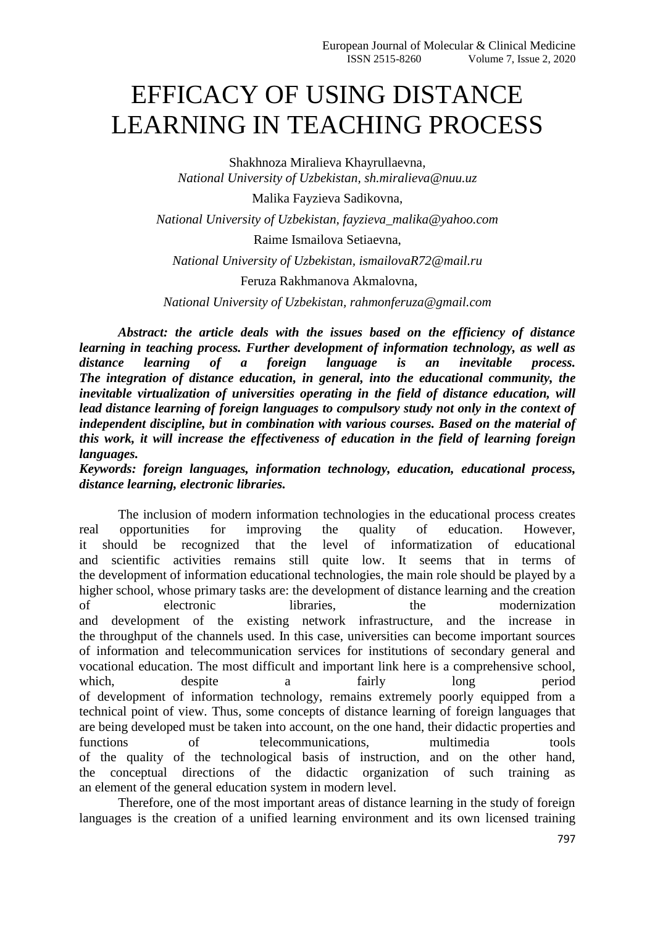## EFFICACY OF USING DISTANCE LEARNING IN TEACHING PROCESS

Shakhnoza Miralieva Khayrullaevna, *National University of Uzbekistan, sh.miralieva@nuu.uz*

Malika Fayzieva Sadikovna,

*National University of Uzbekistan, fayzieva\_malika@yahoo.com*

Raime Ismailova Setiaevna,

*National University of Uzbekistan, ismailovaR72@mail.ru*

Feruza Rakhmanova Akmalovna,

*National University of Uzbekistan, rahmonferuza@gmail.com*

*Abstract: the article deals with the issues based on the efficiency of distance learning in teaching process. Further development of information technology, as well as distance learning of a foreign language is an inevitable process. The integration of distance education, in general, into the educational community, the inevitable virtualization of universities operating in the field of distance education, will lead distance learning of foreign languages to compulsory study not only in the context of independent discipline, but in combination with various courses. Based on the material of this work, it will increase the effectiveness of education in the field of learning foreign languages.*

*Keywords: foreign languages, information technology, education, educational process, distance learning, electronic libraries.*

The inclusion of modern information technologies in the educational process creates real opportunities for improving the quality of education. However, it should be recognized that the level of informatization of educational and scientific activities remains still quite low. It seems that in terms of the development of information educational technologies, the main role should be played by a higher school, whose primary tasks are: the development of distance learning and the creation of electronic libraries, the modernization and development of the existing network infrastructure, and the increase in the throughput of the channels used. In this case, universities can become important sources of information and telecommunication services for institutions of secondary general and vocational education. The most difficult and important link here is a comprehensive school, which, despite a fairly long period of development of information technology, remains extremely poorly equipped from a technical point of view. Thus, some concepts of distance learning of foreign languages that are being developed must be taken into account, on the one hand, their didactic properties and<br>functions of the discommunications multimedia tools functions of telecommunications, multimedia tools of the quality of the technological basis of instruction, and on the other hand, the conceptual directions of the didactic organization of such training as an element of the general education system in modern level.

Therefore, one of the most important areas of distance learning in the study of foreign languages is the creation of a unified learning environment and its own licensed training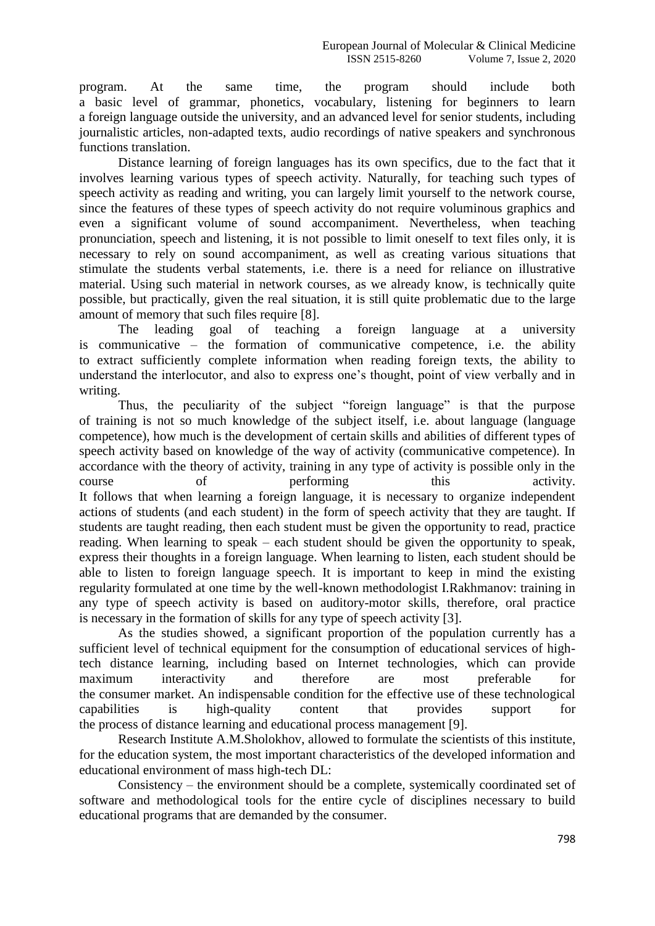program. At the same time, the program should include both a basic level of grammar, phonetics, vocabulary, listening for beginners to learn a foreign language outside the university, and an advanced level for senior students, including journalistic articles, non-adapted texts, audio recordings of native speakers and synchronous functions translation.

Distance learning of foreign languages has its own specifics, due to the fact that it involves learning various types of speech activity. Naturally, for teaching such types of speech activity as reading and writing, you can largely limit yourself to the network course, since the features of these types of speech activity do not require voluminous graphics and even a significant volume of sound accompaniment. Nevertheless, when teaching pronunciation, speech and listening, it is not possible to limit oneself to text files only, it is necessary to rely on sound accompaniment, as well as creating various situations that stimulate the students verbal statements, i.e. there is a need for reliance on illustrative material. Using such material in network courses, as we already know, is technically quite possible, but practically, given the real situation, it is still quite problematic due to the large amount of memory that such files require [8].

The leading goal of teaching a foreign language at a university is communicative – the formation of communicative competence, i.e. the ability to extract sufficiently complete information when reading foreign texts, the ability to understand the interlocutor, and also to express one's thought, point of view verbally and in writing.

Thus, the peculiarity of the subject "foreign language" is that the purpose of training is not so much knowledge of the subject itself, i.e. about language (language competence), how much is the development of certain skills and abilities of different types of speech activity based on knowledge of the way of activity (communicative competence). In accordance with the theory of activity, training in any type of activity is possible only in the course of performing this activity. It follows that when learning a foreign language, it is necessary to organize independent actions of students (and each student) in the form of speech activity that they are taught. If students are taught reading, then each student must be given the opportunity to read, practice reading. When learning to speak – each student should be given the opportunity to speak, express their thoughts in a foreign language. When learning to listen, each student should be able to listen to foreign language speech. It is important to keep in mind the existing regularity formulated at one time by the well-known methodologist I.Rakhmanov: training in any type of speech activity is based on auditory-motor skills, therefore, oral practice is necessary in the formation of skills for any type of speech activity [3].

As the studies showed, a significant proportion of the population currently has a sufficient level of technical equipment for the consumption of educational services of hightech distance learning, including based on Internet technologies, which can provide maximum interactivity and therefore are most preferable for the consumer market. An indispensable condition for the effective use of these technological capabilities is high-quality content that provides support for the process of distance learning and educational process management [9].

Research Institute A.M.Sholokhov, allowed to formulate the scientists of this institute, for the education system, the most important characteristics of the developed information and educational environment of mass high-tech DL:

Consistency – the environment should be a complete, systemically coordinated set of software and methodological tools for the entire cycle of disciplines necessary to build educational programs that are demanded by the consumer.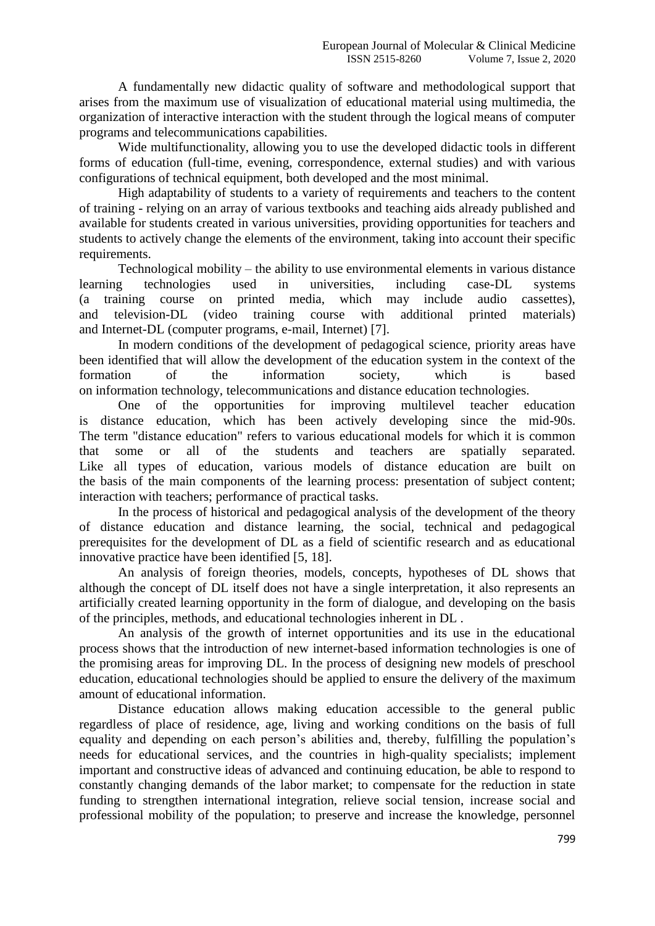A fundamentally new didactic quality of software and methodological support that arises from the maximum use of visualization of educational material using multimedia, the organization of interactive interaction with the student through the logical means of computer programs and telecommunications capabilities.

Wide multifunctionality, allowing you to use the developed didactic tools in different forms of education (full-time, evening, correspondence, external studies) and with various configurations of technical equipment, both developed and the most minimal.

High adaptability of students to a variety of requirements and teachers to the content of training - relying on an array of various textbooks and teaching aids already published and available for students created in various universities, providing opportunities for teachers and students to actively change the elements of the environment, taking into account their specific requirements.

Technological mobility – the ability to use environmental elements in various distance learning technologies used in universities, including case-DL systems (a training course on printed media, which may include audio cassettes), and television-DL (video training course with additional printed materials) and Internet-DL (computer programs, e-mail, Internet) [7].

In modern conditions of the development of pedagogical science, priority areas have been identified that will allow the development of the education system in the context of the formation of the information society, which is based on information technology, telecommunications and distance education technologies.

One of the opportunities for improving multilevel teacher education is distance education, which has been actively developing since the mid-90s. The term "distance education" refers to various educational models for which it is common that some or all of the students and teachers are spatially separated. Like all types of education, various models of distance education are built on the basis of the main components of the learning process: presentation of subject content; interaction with teachers; performance of practical tasks.

In the process of historical and pedagogical analysis of the development of the theory of distance education and distance learning, the social, technical and pedagogical prerequisites for the development of DL as a field of scientific research and as educational innovative practice have been identified [5, 18].

An analysis of foreign theories, models, concepts, hypotheses of DL shows that although the concept of DL itself does not have a single interpretation, it also represents an artificially created learning opportunity in the form of dialogue, and developing on the basis of the principles, methods, and educational technologies inherent in DL .

An analysis of the growth of internet opportunities and its use in the educational process shows that the introduction of new internet-based information technologies is one of the promising areas for improving DL. In the process of designing new models of preschool education, educational technologies should be applied to ensure the delivery of the maximum amount of educational information.

Distance education allows making education accessible to the general public regardless of place of residence, age, living and working conditions on the basis of full equality and depending on each person's abilities and, thereby, fulfilling the population's needs for educational services, and the countries in high-quality specialists; implement important and constructive ideas of advanced and continuing education, be able to respond to constantly changing demands of the labor market; to compensate for the reduction in state funding to strengthen international integration, relieve social tension, increase social and professional mobility of the population; to preserve and increase the knowledge, personnel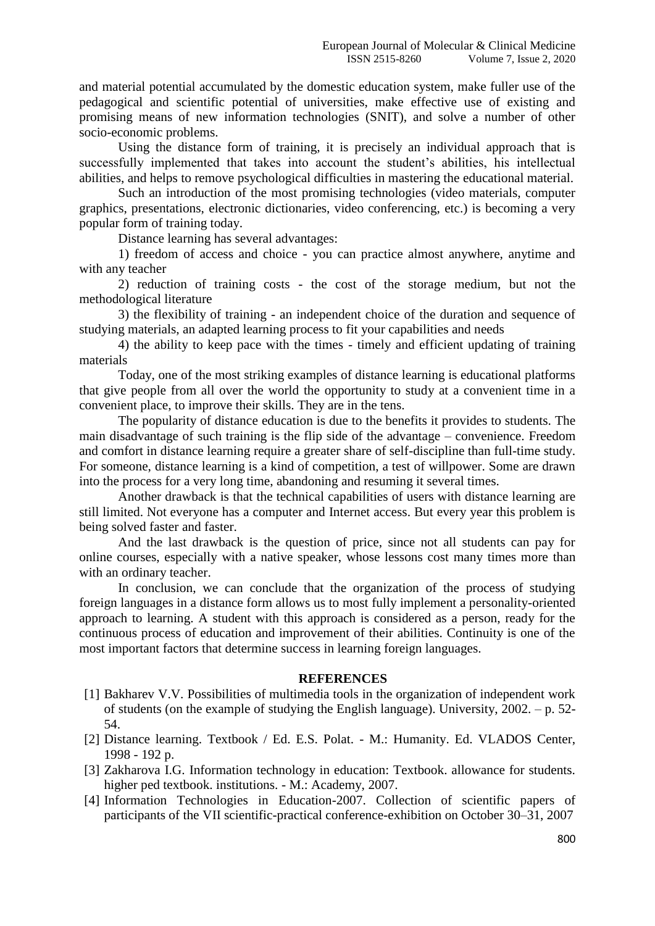and material potential accumulated by the domestic education system, make fuller use of the pedagogical and scientific potential of universities, make effective use of existing and promising means of new information technologies (SNIT), and solve a number of other socio-economic problems.

Using the distance form of training, it is precisely an individual approach that is successfully implemented that takes into account the student's abilities, his intellectual abilities, and helps to remove psychological difficulties in mastering the educational material.

Such an introduction of the most promising technologies (video materials, computer graphics, presentations, electronic dictionaries, video conferencing, etc.) is becoming a very popular form of training today.

Distance learning has several advantages:

1) freedom of access and choice - you can practice almost anywhere, anytime and with any teacher

2) reduction of training costs - the cost of the storage medium, but not the methodological literature

3) the flexibility of training - an independent choice of the duration and sequence of studying materials, an adapted learning process to fit your capabilities and needs

4) the ability to keep pace with the times - timely and efficient updating of training materials

Today, one of the most striking examples of distance learning is educational platforms that give people from all over the world the opportunity to study at a convenient time in a convenient place, to improve their skills. They are in the tens.

The popularity of distance education is due to the benefits it provides to students. The main disadvantage of such training is the flip side of the advantage – convenience. Freedom and comfort in distance learning require a greater share of self-discipline than full-time study. For someone, distance learning is a kind of competition, a test of willpower. Some are drawn into the process for a very long time, abandoning and resuming it several times.

Another drawback is that the technical capabilities of users with distance learning are still limited. Not everyone has a computer and Internet access. But every year this problem is being solved faster and faster.

And the last drawback is the question of price, since not all students can pay for online courses, especially with a native speaker, whose lessons cost many times more than with an ordinary teacher.

In conclusion, we can conclude that the organization of the process of studying foreign languages in a distance form allows us to most fully implement a personality-oriented approach to learning. A student with this approach is considered as a person, ready for the continuous process of education and improvement of their abilities. Continuity is one of the most important factors that determine success in learning foreign languages.

## **REFERENCES**

- [1] Bakharev V.V. Possibilities of multimedia tools in the organization of independent work of students (on the example of studying the English language). University, 2002. – p. 52- 54.
- [2] Distance learning. Textbook / Ed. E.S. Polat. M.: Humanity. Ed. VLADOS Center, 1998 - 192 p.
- [3] Zakharova I.G. Information technology in education: Textbook. allowance for students. higher ped textbook. institutions. - M.: Academy, 2007.
- [4] Information Technologies in Education-2007. Collection of scientific papers of participants of the VII scientific-practical conference-exhibition on October 30–31, 2007